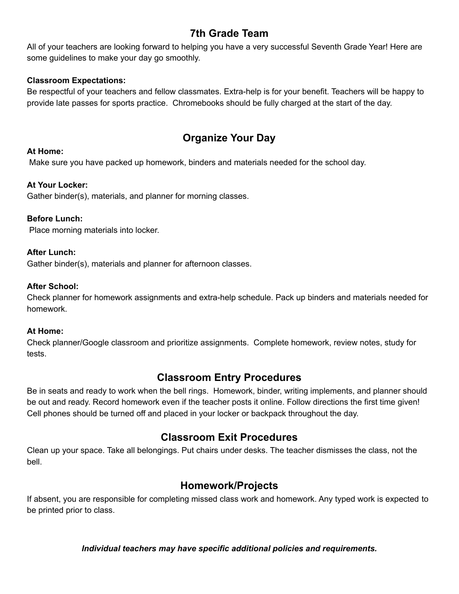# **7th Grade Team**

All of your teachers are looking forward to helping you have a very successful Seventh Grade Year! Here are some guidelines to make your day go smoothly.

#### **Classroom Expectations:**

Be respectful of your teachers and fellow classmates. Extra-help is for your benefit. Teachers will be happy to provide late passes for sports practice. Chromebooks should be fully charged at the start of the day.

# **Organize Your Day**

#### **At Home:**

Make sure you have packed up homework, binders and materials needed for the school day.

### **At Your Locker:**

Gather binder(s), materials, and planner for morning classes.

#### **Before Lunch:**

Place morning materials into locker.

#### **After Lunch:**

Gather binder(s), materials and planner for afternoon classes.

#### **After School:**

Check planner for homework assignments and extra-help schedule. Pack up binders and materials needed for homework.

#### **At Home:**

Check planner/Google classroom and prioritize assignments. Complete homework, review notes, study for tests.

# **Classroom Entry Procedures**

Be in seats and ready to work when the bell rings. Homework, binder, writing implements, and planner should be out and ready. Record homework even if the teacher posts it online. Follow directions the first time given! Cell phones should be turned off and placed in your locker or backpack throughout the day.

# **Classroom Exit Procedures**

Clean up your space. Take all belongings. Put chairs under desks. The teacher dismisses the class, not the bell.

# **Homework/Projects**

If absent, you are responsible for completing missed class work and homework. Any typed work is expected to be printed prior to class.

*Individual teachers may have specific additional policies and requirements.*